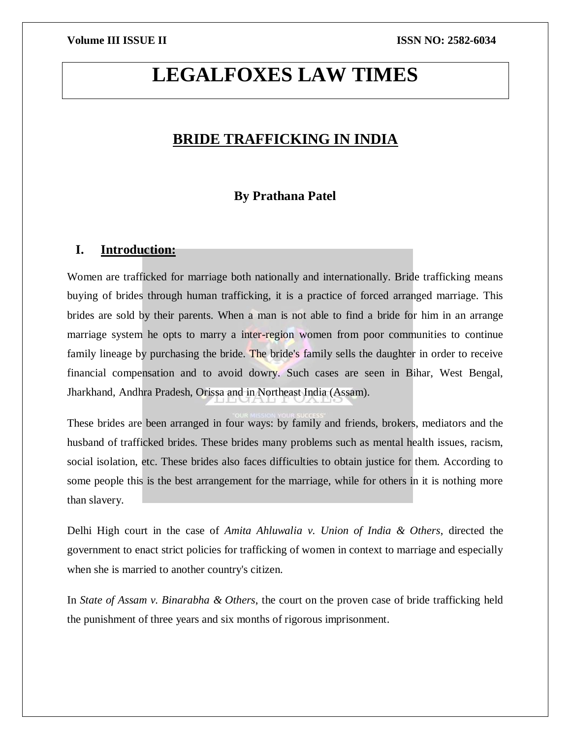# **LEGALFOXES LAW TIMES**

# **BRIDE TRAFFICKING IN INDIA**

# **By Prathana Patel**

# **I. Introduction:**

Women are trafficked for marriage both nationally and internationally. Bride trafficking means buying of brides through human trafficking, it is a practice of forced arranged marriage. This brides are sold by their parents. When a man is not able to find a bride for him in an arrange marriage system he opts to marry a inter-region women from poor communities to continue family lineage by purchasing the bride. The bride's family sells the daughter in order to receive financial compensation and to avoid dowry. Such cases are seen in Bihar, West Bengal, Jharkhand, Andhra Pradesh, Orissa and in Northeast India (Assam).

These brides are been arranged in four ways: by family and friends, brokers, mediators and the husband of trafficked brides. These brides many problems such as mental health issues, racism, social isolation, etc. These brides also faces difficulties to obtain justice for them. According to some people this is the best arrangement for the marriage, while for others in it is nothing more than slavery.

Delhi High court in the case of *Amita Ahluwalia v. Union of India & Others*, directed the government to enact strict policies for trafficking of women in context to marriage and especially when she is married to another country's citizen.

In *State of Assam v. Binarabha & Others*, the court on the proven case of bride trafficking held the punishment of three years and six months of rigorous imprisonment.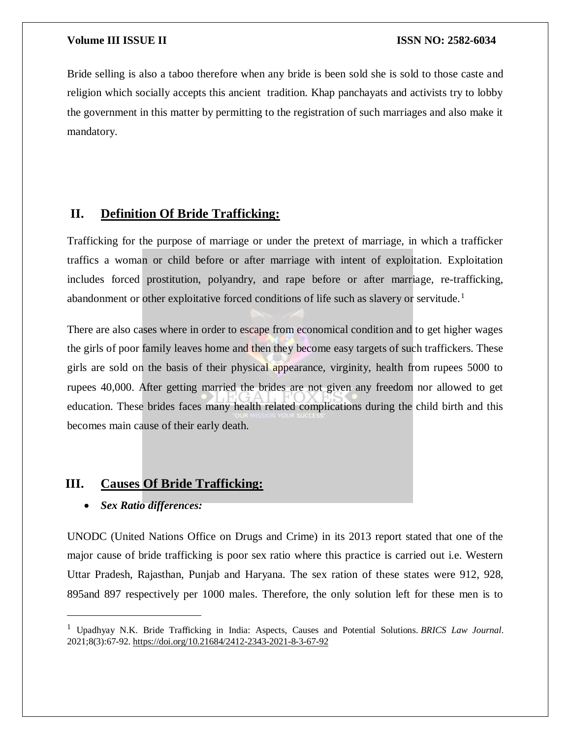Bride selling is also a taboo therefore when any bride is been sold she is sold to those caste and religion which socially accepts this ancient tradition. Khap panchayats and activists try to lobby the government in this matter by permitting to the registration of such marriages and also make it mandatory.

# **II. Definition Of Bride Trafficking:**

Trafficking for the purpose of marriage or under the pretext of marriage, in which a trafficker traffics a woman or child before or after marriage with intent of exploitation. Exploitation includes forced prostitution, polyandry, and rape before or after marriage, re-trafficking, abandonment or other exploitative forced conditions of life such as slavery or servitude.<sup>1</sup>

There are also cases where in order to escape from economical condition and to get higher wages the girls of poor family leaves home and then they become easy targets of such traffickers. These girls are sold on the basis of their physical appearance, virginity, health from rupees 5000 to rupees 40,000. After getting married the brides are not given any freedom nor allowed to get education. These brides faces many health related complications during the child birth and this becomes main cause of their early death.

# **III. Causes Of Bride Trafficking:**

### *Sex Ratio differences:*

 $\overline{\phantom{a}}$ 

UNODC (United Nations Office on Drugs and Crime) in its 2013 report stated that one of the major cause of bride trafficking is poor sex ratio where this practice is carried out i.e. Western Uttar Pradesh, Rajasthan, Punjab and Haryana. The sex ration of these states were 912, 928, 895and 897 respectively per 1000 males. Therefore, the only solution left for these men is to

<sup>1</sup> Upadhyay N.K. Bride Trafficking in India: Aspects, Causes and Potential Solutions. *BRICS Law Journal*. 2021;8(3):67-92. <https://doi.org/10.21684/2412-2343-2021-8-3-67-92>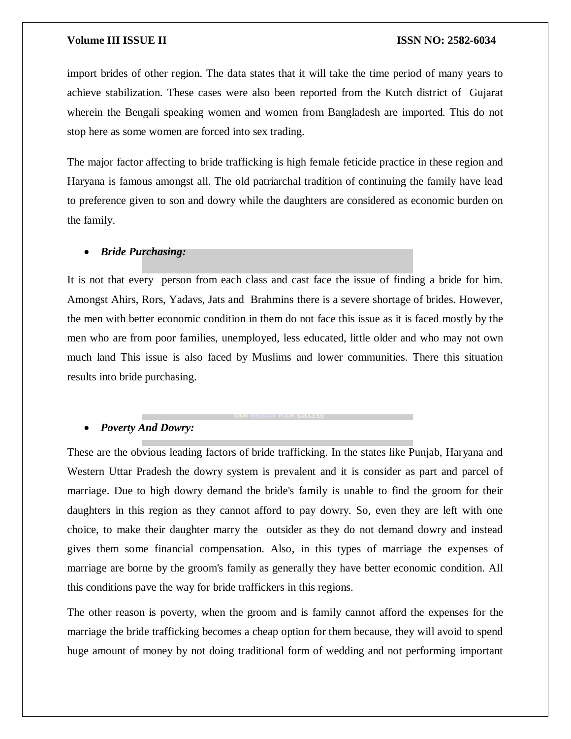import brides of other region. The data states that it will take the time period of many years to achieve stabilization. These cases were also been reported from the Kutch district of Gujarat wherein the Bengali speaking women and women from Bangladesh are imported. This do not stop here as some women are forced into sex trading.

The major factor affecting to bride trafficking is high female feticide practice in these region and Haryana is famous amongst all. The old patriarchal tradition of continuing the family have lead to preference given to son and dowry while the daughters are considered as economic burden on the family.

### *Bride Purchasing:*

It is not that every person from each class and cast face the issue of finding a bride for him. Amongst Ahirs, Rors, Yadavs, Jats and Brahmins there is a severe shortage of brides. However, the men with better economic condition in them do not face this issue as it is faced mostly by the men who are from poor families, unemployed, less educated, little older and who may not own much land This issue is also faced by Muslims and lower communities. There this situation results into bride purchasing.

#### *Poverty And Dowry:*

These are the obvious leading factors of bride trafficking. In the states like Punjab, Haryana and Western Uttar Pradesh the dowry system is prevalent and it is consider as part and parcel of marriage. Due to high dowry demand the bride's family is unable to find the groom for their daughters in this region as they cannot afford to pay dowry. So, even they are left with one choice, to make their daughter marry the outsider as they do not demand dowry and instead gives them some financial compensation. Also, in this types of marriage the expenses of marriage are borne by the groom's family as generally they have better economic condition. All this conditions pave the way for bride traffickers in this regions.

The other reason is poverty, when the groom and is family cannot afford the expenses for the marriage the bride trafficking becomes a cheap option for them because, they will avoid to spend huge amount of money by not doing traditional form of wedding and not performing important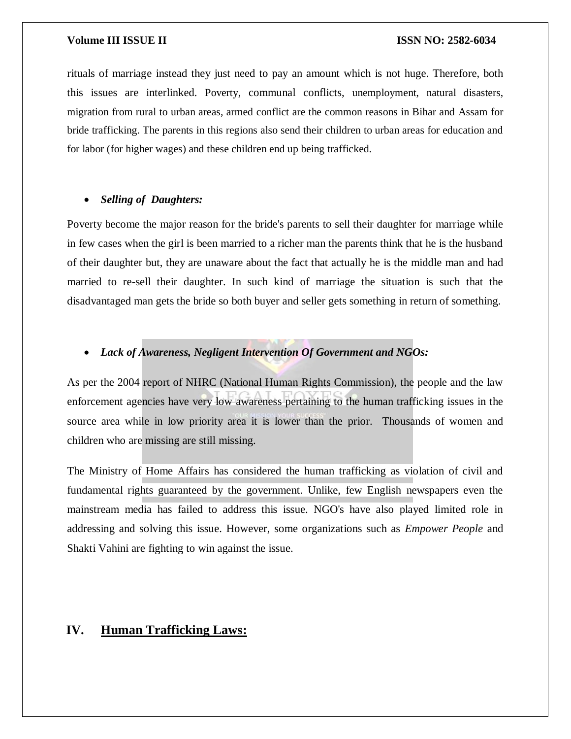rituals of marriage instead they just need to pay an amount which is not huge. Therefore, both this issues are interlinked. Poverty, communal conflicts, unemployment, natural disasters, migration from rural to urban areas, armed conflict are the common reasons in Bihar and Assam for bride trafficking. The parents in this regions also send their children to urban areas for education and for labor (for higher wages) and these children end up being trafficked.

#### *Selling of Daughters:*

Poverty become the major reason for the bride's parents to sell their daughter for marriage while in few cases when the girl is been married to a richer man the parents think that he is the husband of their daughter but, they are unaware about the fact that actually he is the middle man and had married to re-sell their daughter. In such kind of marriage the situation is such that the disadvantaged man gets the bride so both buyer and seller gets something in return of something.

#### *Lack of Awareness, Negligent Intervention Of Government and NGOs:*

As per the 2004 report of NHRC (National Human Rights Commission), the people and the law enforcement agencies have very low awareness pertaining to the human trafficking issues in the source area while in low priority area it is lower than the prior. Thousands of women and children who are missing are still missing.

The Ministry of Home Affairs has considered the human trafficking as violation of civil and fundamental rights guaranteed by the government. Unlike, few English newspapers even the mainstream media has failed to address this issue. NGO's have also played limited role in addressing and solving this issue. However, some organizations such as *Empower People* and Shakti Vahini are fighting to win against the issue.

# **IV. Human Trafficking Laws:**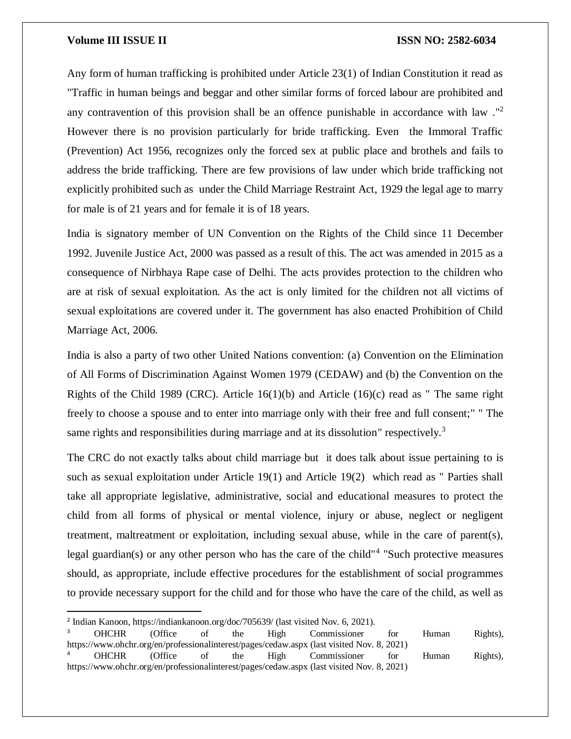Any form of human trafficking is prohibited under Article 23(1) of Indian Constitution it read as "Traffic in human beings and beggar and other similar forms of forced labour are prohibited and any contravention of this provision shall be an offence punishable in accordance with law ."<sup>2</sup> However there is no provision particularly for bride trafficking. Even the Immoral Traffic (Prevention) Act 1956, recognizes only the forced sex at public place and brothels and fails to address the bride trafficking. There are few provisions of law under which bride trafficking not explicitly prohibited such as under the Child Marriage Restraint Act, 1929 the legal age to marry for male is of 21 years and for female it is of 18 years.

India is signatory member of UN Convention on the Rights of the Child since 11 December 1992. Juvenile Justice Act, 2000 was passed as a result of this. The act was amended in 2015 as a consequence of Nirbhaya Rape case of Delhi. The acts provides protection to the children who are at risk of sexual exploitation. As the act is only limited for the children not all victims of sexual exploitations are covered under it. The government has also enacted Prohibition of Child Marriage Act, 2006.

India is also a party of two other United Nations convention: (a) Convention on the Elimination of All Forms of Discrimination Against Women 1979 (CEDAW) and (b) the Convention on the Rights of the Child 1989 (CRC). Article 16(1)(b) and Article (16)(c) read as " The same right freely to choose a spouse and to enter into marriage only with their free and full consent;" " The same rights and responsibilities during marriage and at its dissolution" respectively.<sup>3</sup>

The CRC do not exactly talks about child marriage but it does talk about issue pertaining to is such as sexual exploitation under Article 19(1) and Article 19(2) which read as "Parties shall take all appropriate legislative, administrative, social and educational measures to protect the child from all forms of physical or mental violence, injury or abuse, neglect or negligent treatment, maltreatment or exploitation, including sexual abuse, while in the care of parent(s), legal guardian(s) or any other person who has the care of the child"<sup>4</sup> "Such protective measures should, as appropriate, include effective procedures for the establishment of social programmes to provide necessary support for the child and for those who have the care of the child, as well as

 $\overline{a}$ 

<sup>&</sup>lt;sup>2</sup> Indian Kanoon, https://indiankanoon.org/doc/705639/ (last visited Nov. 6, 2021).

<sup>3</sup> OHCHR (Office of the High Commissioner for Human Rights), https://www.ohchr.org/en/professionalinterest/pages/cedaw.aspx (last visited Nov. 8, 2021) <sup>4</sup> OHCHR (Office of the High Commissioner for Human Rights), https://www.ohchr.org/en/professionalinterest/pages/cedaw.aspx (last visited Nov. 8, 2021)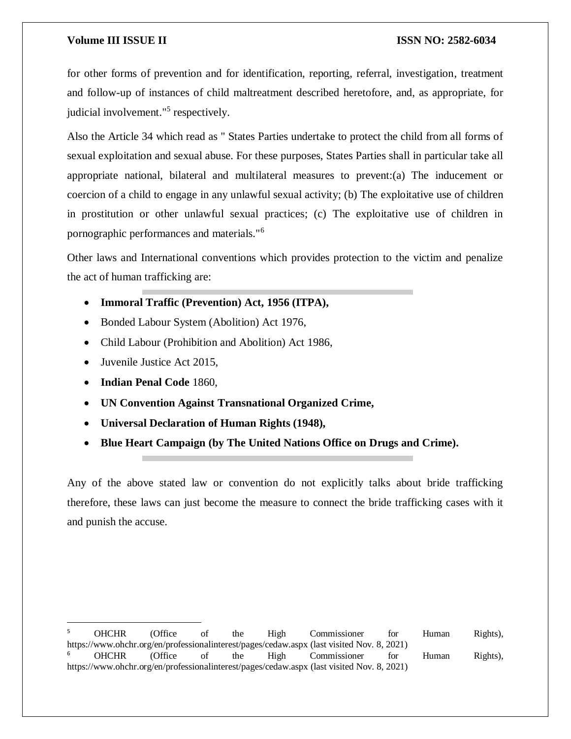for other forms of prevention and for identification, reporting, referral, investigation, treatment and follow-up of instances of child maltreatment described heretofore, and, as appropriate, for judicial involvement."<sup>5</sup> respectively.

Also the Article 34 which read as " States Parties undertake to protect the child from all forms of sexual exploitation and sexual abuse. For these purposes, States Parties shall in particular take all appropriate national, bilateral and multilateral measures to prevent:(a) The inducement or coercion of a child to engage in any unlawful sexual activity; (b) The exploitative use of children in prostitution or other unlawful sexual practices; (c) The exploitative use of children in pornographic performances and materials."<sup>6</sup>

Other laws and International conventions which provides protection to the victim and penalize the act of human trafficking are:

- **Immoral Traffic (Prevention) Act, 1956 (ITPA),**
- Bonded Labour System (Abolition) Act 1976,
- Child Labour (Prohibition and Abolition) Act 1986,
- Juvenile Justice Act 2015.
- **Indian Penal Code** 1860,
- **UN Convention Against Transnational Organized Crime,**
- **Universal Declaration of Human Rights (1948),**
- **Blue Heart Campaign (by The United Nations Office on Drugs and Crime).**

Any of the above stated law or convention do not explicitly talks about bride trafficking therefore, these laws can just become the measure to connect the bride trafficking cases with it and punish the accuse.

 $\overline{a}$ <sup>5</sup> OHCHR (Office of the High Commissioner for Human Rights), https://www.ohchr.org/en/professionalinterest/pages/cedaw.aspx (last visited Nov. 8, 2021) <sup>6</sup> OHCHR (Office of the High Commissioner for Human Rights), https://www.ohchr.org/en/professionalinterest/pages/cedaw.aspx (last visited Nov. 8, 2021)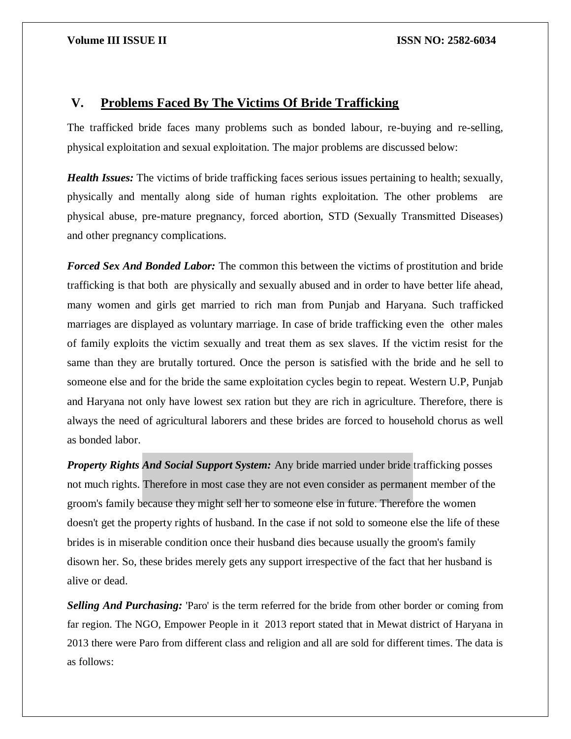## **V. Problems Faced By The Victims Of Bride Trafficking**

The trafficked bride faces many problems such as bonded labour, re-buying and re-selling, physical exploitation and sexual exploitation. The major problems are discussed below:

*Health Issues:* The victims of bride trafficking faces serious issues pertaining to health; sexually, physically and mentally along side of human rights exploitation. The other problems are physical abuse, pre-mature pregnancy, forced abortion, STD (Sexually Transmitted Diseases) and other pregnancy complications.

*Forced Sex And Bonded Labor:* The common this between the victims of prostitution and bride trafficking is that both are physically and sexually abused and in order to have better life ahead, many women and girls get married to rich man from Punjab and Haryana. Such trafficked marriages are displayed as voluntary marriage. In case of bride trafficking even the other males of family exploits the victim sexually and treat them as sex slaves. If the victim resist for the same than they are brutally tortured. Once the person is satisfied with the bride and he sell to someone else and for the bride the same exploitation cycles begin to repeat. Western U.P, Punjab and Haryana not only have lowest sex ration but they are rich in agriculture. Therefore, there is always the need of agricultural laborers and these brides are forced to household chorus as well as bonded labor.

*Property Rights And Social Support System:* Any bride married under bride trafficking posses not much rights. Therefore in most case they are not even consider as permanent member of the groom's family because they might sell her to someone else in future. Therefore the women doesn't get the property rights of husband. In the case if not sold to someone else the life of these brides is in miserable condition once their husband dies because usually the groom's family disown her. So, these brides merely gets any support irrespective of the fact that her husband is alive or dead.

*Selling And Purchasing:* 'Paro' is the term referred for the bride from other border or coming from far region. The NGO, Empower People in it 2013 report stated that in Mewat district of Haryana in 2013 there were Paro from different class and religion and all are sold for different times. The data is as follows: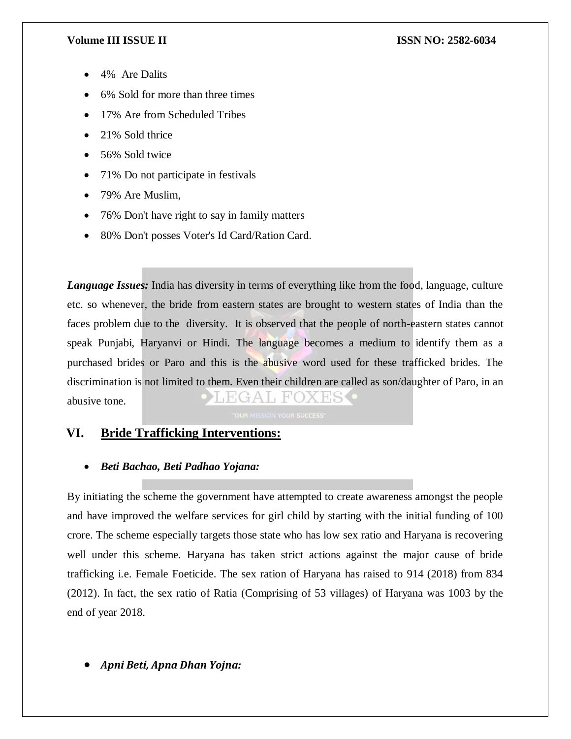- 4% Are Dalits
- 6% Sold for more than three times
- 17% Are from Scheduled Tribes
- 21% Sold thrice
- 56% Sold twice
- 71% Do not participate in festivals
- 79% Are Muslim.
- 76% Don't have right to say in family matters
- 80% Don't posses Voter's Id Card/Ration Card.

*Language Issues:* India has diversity in terms of everything like from the food, language, culture etc. so whenever, the bride from eastern states are brought to western states of India than the faces problem due to the diversity. It is observed that the people of north-eastern states cannot speak Punjabi, Haryanvi or Hindi. The language becomes a medium to identify them as a purchased brides or Paro and this is the abusive word used for these trafficked brides. The discrimination is not limited to them. Even their children are called as son/daughter of Paro, in an abusive tone.

# **VI. Bride Trafficking Interventions:**

### *Beti Bachao, Beti Padhao Yojana:*

By initiating the scheme the government have attempted to create awareness amongst the people and have improved the welfare services for girl child by starting with the initial funding of 100 crore. The scheme especially targets those state who has low sex ratio and Haryana is recovering well under this scheme. Haryana has taken strict actions against the major cause of bride trafficking i.e. Female Foeticide. The sex ration of Haryana has raised to 914 (2018) from 834 (2012). In fact, the sex ratio of Ratia (Comprising of 53 villages) of Haryana was 1003 by the end of year 2018.

*Apni Beti, Apna Dhan Yojna:*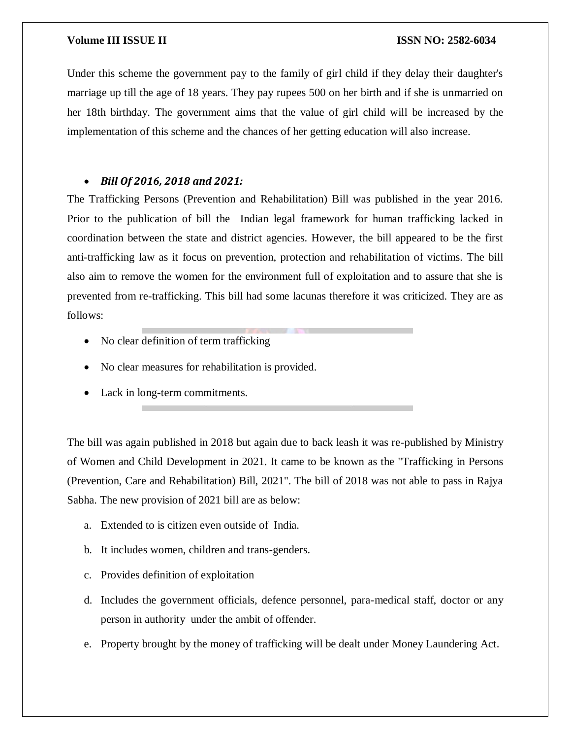Under this scheme the government pay to the family of girl child if they delay their daughter's marriage up till the age of 18 years. They pay rupees 500 on her birth and if she is unmarried on her 18th birthday. The government aims that the value of girl child will be increased by the implementation of this scheme and the chances of her getting education will also increase.

### *Bill Of 2016, 2018 and 2021:*

The Trafficking Persons (Prevention and Rehabilitation) Bill was published in the year 2016. Prior to the publication of bill the Indian legal framework for human trafficking lacked in coordination between the state and district agencies. However, the bill appeared to be the first anti-trafficking law as it focus on prevention, protection and rehabilitation of victims. The bill also aim to remove the women for the environment full of exploitation and to assure that she is prevented from re-trafficking. This bill had some lacunas therefore it was criticized. They are as follows:

- No clear definition of term trafficking
- No clear measures for rehabilitation is provided.
- Lack in long-term commitments.

The bill was again published in 2018 but again due to back leash it was re-published by Ministry of Women and Child Development in 2021. It came to be known as the "Trafficking in Persons (Prevention, Care and Rehabilitation) Bill, 2021". The bill of 2018 was not able to pass in Rajya Sabha. The new provision of 2021 bill are as below:

- a. Extended to is citizen even outside of India.
- b. It includes women, children and trans-genders.
- c. Provides definition of exploitation
- d. Includes the government officials, defence personnel, para-medical staff, doctor or any person in authority under the ambit of offender.
- e. Property brought by the money of trafficking will be dealt under Money Laundering Act.